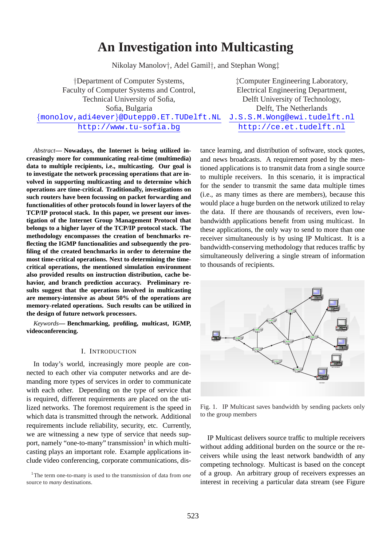# **An Investigation into Multicasting**

Nikolay Manolov†, Adel Gamil†, and Stephan Wong‡

†Department of Computer Systems, ‡Computer Engineering Laboratory, Faculty of Computer Systems and Control, Electrical Engineering Department, Technical University of Sofia, Delft University of Technology, Sofia, Bulgaria Delft, The Netherlands {monolov,adi4ever}@Dutepp0.ET.TUDelft.NL J.S.S.M.Wong@ewi.tudelft.nl http://www.tu-sofia.bg http://ce.et.tudelft.nl

*Abstract***— Nowadays, the Internet is being utilized increasingly more for communicating real-time (multimedia) data to multiple recipients, i.e., multicasting. Our goal is to investigate the network processing operations that are involved in supporting multicasting and to determine which operations are time-critical. Traditionally, investigations on such routers have been focussing on packet forwarding and functionalities of other protocols found in lower layers of the TCP/IP protocol stack. In this paper, we present our investigation of the Internet Group Management Protocol that belongs to a higher layer of the TCP/IP protocol stack. The methodology encompasses the creation of benchmarks reflecting the IGMP functionalities and subsequently the profiling of the created benchmarks in order to determine the most time-critical operations. Next to determining the timecritical operations, the mentioned simulation environment also provided results on instruction distribution, cache behavior, and branch prediction accuracy. Preliminary results suggest that the operations involved in multicasting are memory-intensive as about 50% of the operations are memory-related operations. Such results can be utilized in the design of future network processors.**

*Keywords***— Benchmarking, profiling, multicast, IGMP, videoconferencing.**

#### I. INTRODUCTION

In today's world, increasingly more people are connected to each other via computer networks and are demanding more types of services in order to communicate with each other. Depending on the type of service that is required, different requirements are placed on the utilized networks. The foremost requirement is the speed in which data is transmitted through the network. Additional requirements include reliability, security, etc. Currently, we are witnessing a new type of service that needs support, namely "one-to-many" transmission<sup>1</sup> in which multicasting plays an important role. Example applications include video conferencing, corporate communications, dis-

<sup>1</sup>The term one-to-many is used to the transmission of data from *one* source to *many* destinations.

tance learning, and distribution of software, stock quotes, and news broadcasts. A requirement posed by the mentioned applications is to transmit data from a single source to multiple receivers. In this scenario, it is impractical for the sender to transmit the same data multiple times (i.e., as many times as there are members), because this would place a huge burden on the network utilized to relay the data. If there are thousands of receivers, even lowbandwidth applications benefit from using multicast. In these applications, the only way to send to more than one receiver simultaneously is by using IP Multicast. It is a bandwidth-conserving methodology that reduces traffic by simultaneously delivering a single stream of information to thousands of recipients.



Fig. 1. IP Multicast saves bandwidth by sending packets only to the group members

IP Multicast delivers source traffic to multiple receivers without adding additional burden on the source or the receivers while using the least network bandwidth of any competing technology. Multicast is based on the concept of a group. An arbitrary group of receivers expresses an interest in receiving a particular data stream (see Figure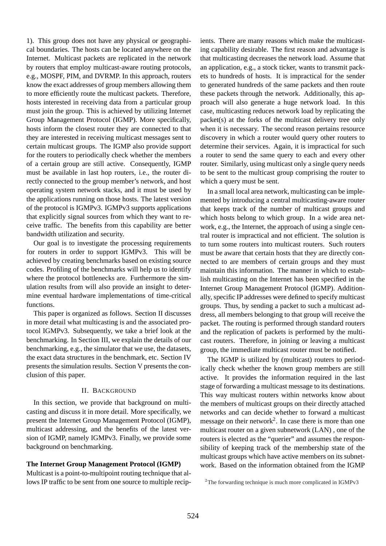1). This group does not have any physical or geographical boundaries. The hosts can be located anywhere on the Internet. Multicast packets are replicated in the network by routers that employ multicast-aware routing protocols, e.g., MOSPF, PIM, and DVRMP. In this approach, routers know the exact addresses of group members allowing them to more efficiently route the multicast packets. Therefore, hosts interested in receiving data from a particular group must join the group. This is achieved by utilizing Internet Group Management Protocol (IGMP). More specifically, hosts inform the closest router they are connected to that they are interested in receiving multicast messages sent to certain multicast groups. The IGMP also provide support for the routers to periodically check whether the members of a certain group are still active. Consequently, IGMP must be available in last hop routers, i.e., the router directly connected to the group member's network, and host operating system network stacks, and it must be used by the applications running on those hosts. The latest version of the protocol is IGMPv3. IGMPv3 supports applications that explicitly signal sources from which they want to receive traffic. The benefits from this capability are better bandwidth utilization and security.

Our goal is to investigate the processing requirements for routers in order to support IGMPv3. This will be achieved by creating benchmarks based on existing source codes. Profiling of the benchmarks will help us to identify where the protocol bottlenecks are. Furthermore the simulation results from will also provide an insight to determine eventual hardware implementations of time-critical functions.

This paper is organized as follows. Section II discusses in more detail what multicasting is and the associated protocol IGMPv3. Subsequently, we take a brief look at the benchmarking. In Section III, we explain the details of our benchmarking, e.g., the simulator that we use, the datasets, the exact data structures in the benchmark, etc. Section IV presents the simulation results. Section V presents the conclusion of this paper.

### II. BACKGROUND

In this section, we provide that background on multicasting and discuss it in more detail. More specifically, we present the Internet Group Management Protocol (IGMP), multicast addressing, and the benefits of the latest version of IGMP, namely IGMPv3. Finally, we provide some background on benchmarking.

### **The Internet Group Management Protocol (IGMP)**

Multicast is a point-to-multipoint routing technique that allows IP traffic to be sent from one source to multiple recipients. There are many reasons which make the multicasting capability desirable. The first reason and advantage is that multicasting decreases the network load. Assume that an application, e.g., a stock ticker, wants to transmit packets to hundreds of hosts. It is impractical for the sender to generated hundreds of the same packets and then route these packets through the network. Additionally, this approach will also generate a huge network load. In this case, multicasting reduces network load by replicating the packet(s) at the forks of the multicast delivery tree only when it is necessary. The second reason pertains resource discovery in which a router would query other routers to determine their services. Again, it is impractical for such a router to send the same query to each and every other router. Similarly, using multicast only a single query needs to be sent to the multicast group comprising the router to which a query must be sent.

In a small local area network, multicasting can be implemented by introducing a central multicasting-aware router that keeps track of the number of multicast groups and which hosts belong to which group. In a wide area network, e.g., the Internet, the approach of using a single central router is impractical and not efficient. The solution is to turn some routers into multicast routers. Such routers must be aware that certain hosts that they are directly connected to are members of certain groups and they must maintain this information. The manner in which to establish multicasting on the Internet has been specified in the Internet Group Management Protocol (IGMP). Additionally, specific IP addresses were defined to specify multicast groups. Thus, by sending a packet to such a multicast address, all members belonging to that group will receive the packet. The routing is performed through standard routers and the replication of packets is performed by the multicast routers. Therefore, in joining or leaving a multicast group, the immediate multicast router must be notified.

The IGMP is utilized by (multicast) routers to periodically check whether the known group members are still active. It provides the information required in the last stage of forwarding a multicast message to its destinations. This way multicast routers within networks know about the members of multicast groups on their directly attached networks and can decide whether to forward a multicast message on their network<sup>2</sup>. In case there is more than one multicast router on a given subnetwork (LAN) , one of the routers is elected as the "querier" and assumes the responsibility of keeping track of the membership state of the multicast groups which have active members on its subnetwork. Based on the information obtained from the IGMP

<sup>&</sup>lt;sup>2</sup>The forwarding technique is much more complicated in IGMPv3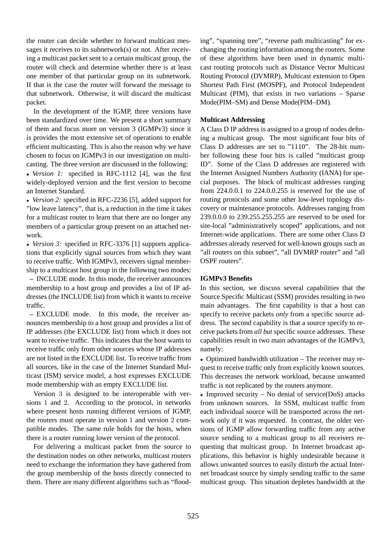the router can decide whether to forward multicast messages it receives to its subnetwork(s) or not. After receiving a multicast packet sent to a certain multicast group, the router will check and determine whether there is at least one member of that particular group on its subnetwork. If that is the case the router will forward the message to that subnetwork. Otherwise, it will discard the multicast packet.

In the development of the IGMP, three versions have been standardized over time. We present a short summary of them and focus more on version 3 (IGMPv3) since it is provides the most extensive set of operations to enable efficient multicasting. This is also the reason why we have chosen to focus on IGMPv3 in our investigation on multicasting. The three version are discussed in the following:

• *Version 1:* specified in RFC-1112 [4], was the first widely-deployed version and the first version to become an Internet Standard.

• *Version 2:* specified in RFC-2236 [5], added support for "low leave latency", that is, a reduction in the time it takes for a multicast router to learn that there are no longer any members of a particular group present on an attached network.

• *Version 3:* specified in RFC-3376 [1] supports applications that explicitly signal sources from which they want to receive traffic. With IGMPv3, receivers signal membership to a multicast host group in the following two modes:

**–** INCLUDE mode. In this mode, the receiver announces membership to a host group and provides a list of IP addresses (the INCLUDE list) from which it wants to receive traffic.

**–** EXCLUDE mode. In this mode, the receiver announces membership to a host group and provides a list of IP addresses (the EXCLUDE list) from which it does not want to receive traffic. This indicates that the host wants to receive traffic only from other sources whose IP addresses are not listed in the EXCLUDE list. To receive traffic from all sources, like in the case of the Internet Standard Multicast (ISM) service model, a host expresses EXCLUDE mode membership with an empty EXCLUDE list.

Version 3 is designed to be interoperable with versions 1 and 2. According to the protocol, in networks where present hosts running different versions of IGMP, the routers must operate in version 1 and version 2 compatible modes. The same rule holds for the hosts, when there is a router running lower version of the protocol.

For delivering a multicast packet from the source to the destination nodes on other networks, multicast routers need to exchange the information they have gathered from the group membership of the hosts directly connected to them. There are many different algorithms such as "flooding", "spanning tree", "reverse path multicasting" for exchanging the routing information among the routers. Some of these algorithms have been used in dynamic multicast routing protocols such as Distance Vector Multicast Routing Protocol (DVMRP), Multicast extension to Open Shortest Path First (MOSPF), and Protocol Independent Multicast (PIM), that exists in two variations – Sparse Mode(PIM–SM) and Dense Mode(PIM–DM).

# **Multicast Addressing**

A Class D IP address is assigned to a group of nodes defining a multicast group. The most significant four bits of Class D addresses are set to "1110". The 28-bit number following these four bits is called "multicast group ID". Some of the Class D addresses are registered with the Internet Assigned Numbers Authority (IANA) for special purposes. The block of multicast addresses ranging from 224.0.0.1 to 224.0.0.255 is reserved for the use of routing protocols and some other low-level topology discovery or maintenance protocols. Addresses ranging from 239.0.0.0 to 239.255.255.255 are reserved to be used for site-local "administratively scoped" applications, and not Internet-wide applications. There are some other Class D addresses already reserved for well-known groups such as "all routers on this subnet", "all DVMRP router" and "all OSPF routers".

# **IGMPv3 Benefits**

In this section, we discuss several capabilities that the Source Specific Multicast (SSM) provides resulting in two main advantages. The first capability is that a host can specify to receive packets *only* from a specific source address. The second capability is that a source specify to receive packets from *all but* specific source addresses. These capabilities result in two main advantages of the IGMPv3, namely:

• Optimized bandwidth utilization – The receiver may request to receive traffic only from explicitly known sources. This decreases the network workload, because unwanted traffic is not replicated by the routers anymore.

• Improved security – No denial of service( $DoS$ ) attacks from unknown sources. In SSM, multicast traffic from each individual source will be transported across the network only if it was requested. In contrast, the older versions of IGMP allow forwarding traffic from any active source sending to a multicast group to all receivers requesting that multicast group. In Internet broadcast applications, this behavior is highly undesirable because it allows unwanted sources to easily disturb the actual Internet broadcast source by simply sending traffic to the same multicast group. This situation depletes bandwidth at the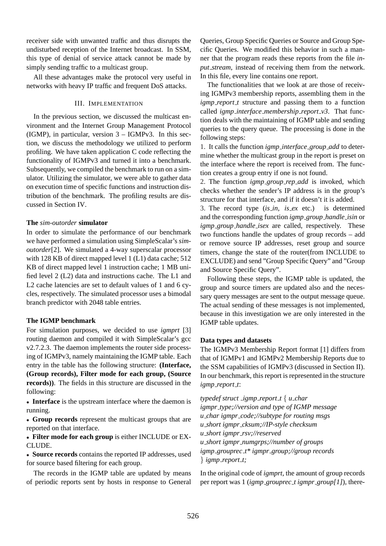receiver side with unwanted traffic and thus disrupts the undisturbed reception of the Internet broadcast. In SSM, this type of denial of service attack cannot be made by simply sending traffic to a multicast group.

All these advantages make the protocol very useful in networks with heavy IP traffic and frequent DoS attacks.

## III. IMPLEMENTATION

In the previous section, we discussed the multicast environment and the Internet Group Management Protocol (IGMP), in particular, version  $3 - IGMPv3$ . In this section, we discuss the methodology we utilized to perform profiling. We have taken application C code reflecting the functionality of IGMPv3 and turned it into a benchmark. Subsequently, we compiled the benchmark to run on a simulator. Utilizing the simulator, we were able to gather data on execution time of specific functions and instruction distribution of the benchmark. The profiling results are discussed in Section IV.

# **The** *sim-outorder* **simulator**

In order to simulate the performance of our benchmark we have performed a simulation using SimpleScalar's *simoutorder*[2]. We simulated a 4-way superscalar processor with 128 KB of direct mapped level 1 (L1) data cache; 512 KB of direct mapped level 1 instruction cache; 1 MB unified level 2 (L2) data and instructions cache. The L1 and L2 cache latencies are set to default values of 1 and 6 cycles, respectively. The simulated processor uses a bimodal branch predictor with 2048 table entries.

# **The IGMP benchmark**

For simulation purposes, we decided to use *igmprt* [3] routing daemon and compiled it with SimpleScalar's gcc v2.7.2.3. The daemon implements the router side processing of IGMPv3, namely maintaining the IGMP table. Each entry in the table has the following structure: **(Interface, (Group records), Filter mode for each group, (Source records))**. The fields in this structure are discussed in the following:

• **Interface** is the upstream interface where the daemon is running.

• **Group records** represent the multicast groups that are reported on that interface.

• **Filter mode for each group** is either INCLUDE or EX-CLUDE.

• **Source records** contains the reported IP addresses, used for source based filtering for each group.

The records in the IGMP table are updated by means of periodic reports sent by hosts in response to General

Queries, Group Specific Queries or Source and Group Specific Queries. We modified this behavior in such a manner that the program reads these reports from the file *input stream*, instead of receiving them from the network. In this file, every line contains one report.

The functionalities that we look at are those of receiving IGMPv3 membership reports, assembling them in the *igmp\_report\_t* structure and passing them to a function called *igmp interface membership report v3*. That function deals with the maintaining of IGMP table and sending queries to the query queue. The processing is done in the following steps:

1. It calls the function *igmp interface group add* to determine whether the multicast group in the report is preset on the interface where the report is received from. The function creates a group entry if one is not found.

2. The function *igmp group rep add* is invoked, which checks whether the sender's IP address is in the group's structure for that interface, and if it doesn't it is added.

3. The record type (*is in*, *is ex* etc.) is determined and the corresponding function *igmp group handle isin* or *igmp\_group\_handle\_isex* are called, respectively. These two functions handle the updates of group records – add or remove source IP addresses, reset group and source timers, change the state of the router(from INCLUDE to EXCLUDE) and send "Group Specific Query" and "Group and Source Specific Query".

Following these steps, the IGMP table is updated, the group and source timers are updated also and the necessary query messages are sent to the output message queue. The actual sending of these messages is not implemented, because in this investigation we are only interested in the IGMP table updates.

# **Data types and datasets**

The IGMPv3 Membership Report format [1] differs from that of IGMPv1 and IGMPv2 Membership Reports due to the SSM capabilities of IGMPv3 (discussed in Section II). In our benchmark, this report is represented in the structure *igmp report t*:

*typedef struct \_igmp\_report\_t*  $\{ u$ *\_char igmpr type;//version and type of IGMP message u char igmpr code;//subtype for routing msgs u short igmpr cksum;//IP-style checksum u short igmpr rsv;//reserved u short igmpr numgrps;//number of groups igmp grouprec t\* igmpr group;//group records* } *igmp report t;*

In the original code of *igmprt*, the amount of group records per report was 1 (*igmp grouprec t igmpr group[1]*), there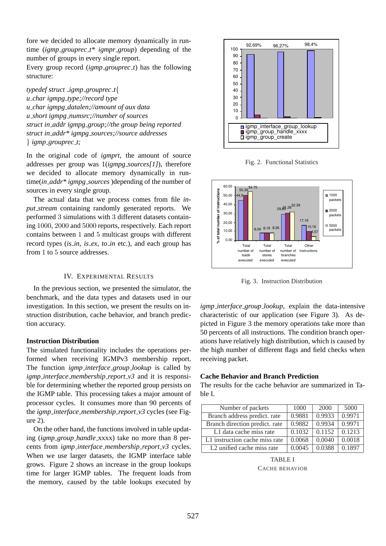fore we decided to allocate memory dynamically in runtime (*igmp grouprec t\* igmpr group*) depending of the number of groups in every single report.

Every group record (*igmp grouprec t*) has the following structure:

*typedef struct igmp grouprec t*{ *u char igmpg type;//record type u char igmpg datalen;//amount of aux data u short igmpg numsrc;//number of sources struct in addr igmpg group;//the group being reported struct in addr\* igmpg sources;//source addresses* } *igmp grouprec t;*

In the original code of *igmprt*, the amount of source addresses per group was 1(*igmpg sources[1]*), therefore we decided to allocate memory dynamically in runtime(*in addr\* igmpg sources* )depending of the number of sources in every single group.

The actual data that we process comes from file *input stream* containing randomly generated reports. We performed 3 simulations with 3 different datasets containing 1000, 2000 and 5000 reports, respectively. Each report contains between 1 and 5 multicast groups with different record types (*is in*, *is ex*, *to in* etc.), and each group has from 1 to 5 source addresses.

#### IV. EXPERIMENTAL RESULTS

In the previous section, we presented the simulator, the benchmark, and the data types and datasets used in our investigation. In this section, we present the results on instruction distribution, cache behavior, and branch prediction accuracy.

## **Instruction Distribution**

The simulated functionality includes the operations performed when receiving IGMPv3 membership report. The function *igmp interface group lookup* is called by *igmp interface membership report v3* and it is responsible for determining whether the reported group persists on the IGMP table. This processing takes a major amount of processor cycles. It consumes more than 90 percents of the *igmp interface membership report v3* cycles (see Figure 2).

On the other hand, the functions involved in table updating (*igmp group handle* xxxx) take no more than 8 percents from *igmp interface membership report v3* cycles. When we use larger datasets, the IGMP interface table grows. Figure 2 shows an increase in the group lookups time for larger IGMP tables. The frequent loads from the memory, caused by the table lookups executed by



Fig. 2. Functional Statistics



Fig. 3. Instruction Distribution

*igmp interface group lookup*, explain the data-intensive characteristic of our application (see Figure 3). As depicted in Figure 3 the memory operations take more than 50 percents of all instructions. The condition branch operations have relatively high distribution, which is caused by the high number of different flags and field checks when receiving packet.

### **Cache Behavior and Branch Prediction**

The results for the cache behavior are summarized in Table I.

| Number of packets                      | 1000   | 2000   | 5000   |
|----------------------------------------|--------|--------|--------|
| Branch address predict. rate           | 0.9881 | 0.9933 | 0.9971 |
| Branch direction predict. rate         | 0.9882 | 0.9934 | 0.9971 |
| L1 data cache miss rate                | 0.1032 | 0.1152 | 0.1213 |
| L1 instruction cache miss rate         | 0.0068 | 0.0040 | 0.0018 |
| L <sub>2</sub> unified cache miss rate | 0.0045 | 0.0388 | 0.1897 |

TABLE I CACHE BEHAVIOR